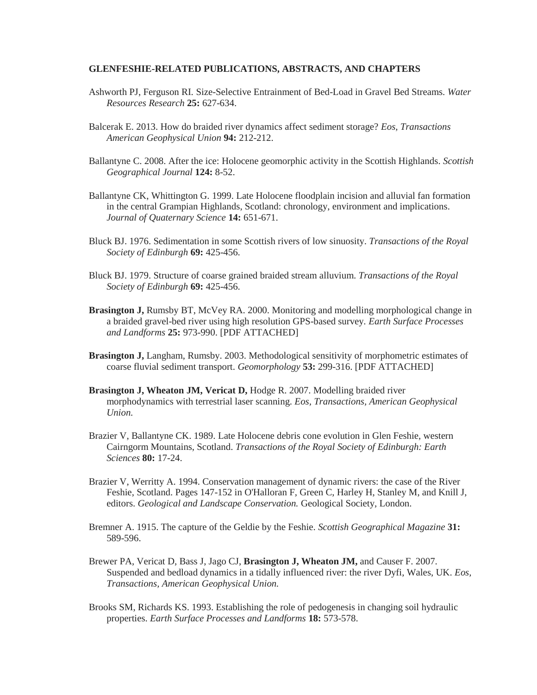## **GLENFESHIE-RELATED PUBLICATIONS, ABSTRACTS, AND CHAPTERS**

- Ashworth PJ, Ferguson RI. Size-Selective Entrainment of Bed-Load in Gravel Bed Streams. *Water Resources Research* **25:** 627-634.
- Balcerak E. 2013. How do braided river dynamics affect sediment storage? *Eos, Transactions American Geophysical Union* **94:** 212-212.
- Ballantyne C. 2008. After the ice: Holocene geomorphic activity in the Scottish Highlands. *Scottish Geographical Journal* **124:** 8-52.
- Ballantyne CK, Whittington G. 1999. Late Holocene floodplain incision and alluvial fan formation in the central Grampian Highlands, Scotland: chronology, environment and implications. *Journal of Quaternary Science* **14:** 651-671.
- Bluck BJ. 1976. Sedimentation in some Scottish rivers of low sinuosity. *Transactions of the Royal Society of Edinburgh* **69:** 425-456.
- Bluck BJ. 1979. Structure of coarse grained braided stream alluvium. *Transactions of the Royal Society of Edinburgh* **69:** 425-456.
- **Brasington J,** Rumsby BT, McVey RA. 2000. Monitoring and modelling morphological change in a braided gravel-bed river using high resolution GPS-based survey*. Earth Surface Processes and Landforms* **25:** 973-990. [PDF ATTACHED]
- **Brasington J,** Langham, Rumsby. 2003. Methodological sensitivity of morphometric estimates of coarse fluvial sediment transport. *Geomorphology* **53:** 299-316. [PDF ATTACHED]
- **Brasington J, Wheaton JM, Vericat D,** Hodge R. 2007. Modelling braided river morphodynamics with terrestrial laser scanning. *Eos, Transactions, American Geophysical Union.*
- Brazier V, Ballantyne CK. 1989. Late Holocene debris cone evolution in Glen Feshie, western Cairngorm Mountains, Scotland. *Transactions of the Royal Society of Edinburgh: Earth Sciences* **80:** 17-24.
- Brazier V, Werritty A. 1994. Conservation management of dynamic rivers: the case of the River Feshie, Scotland. Pages 147-152 in O'Halloran F, Green C, Harley H, Stanley M, and Knill J, editors. *Geological and Landscape Conservation.* Geological Society, London.
- Bremner A. 1915. The capture of the Geldie by the Feshie. *Scottish Geographical Magazine* **31:** 589-596.
- Brewer PA, Vericat D, Bass J, Jago CJ, **Brasington J, Wheaton JM,** and Causer F. 2007. Suspended and bedload dynamics in a tidally influenced river: the river Dyfi, Wales, UK. *Eos, Transactions, American Geophysical Union.*
- Brooks SM, Richards KS. 1993. Establishing the role of pedogenesis in changing soil hydraulic properties. *Earth Surface Processes and Landforms* **18:** 573-578.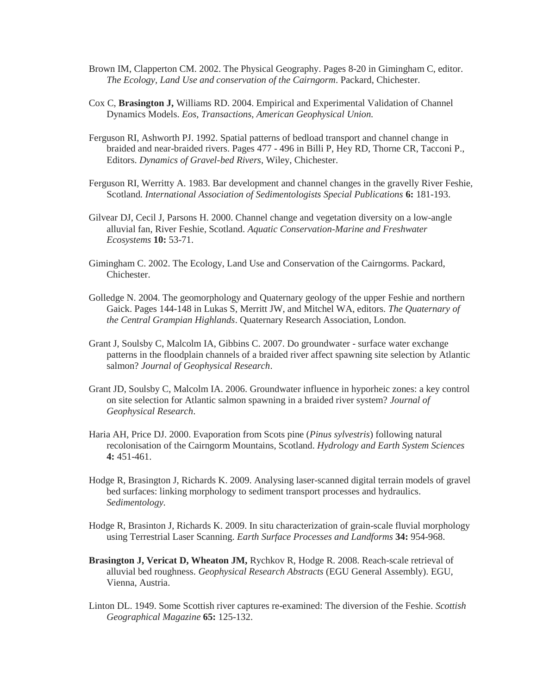- Brown IM, Clapperton CM. 2002. The Physical Geography. Pages 8-20 in Gimingham C, editor. *The Ecology, Land Use and conservation of the Cairngorm*. Packard, Chichester.
- Cox C, **Brasington J,** Williams RD. 2004. Empirical and Experimental Validation of Channel Dynamics Models. *Eos, Transactions, American Geophysical Union.*
- Ferguson RI, Ashworth PJ. 1992. Spatial patterns of bedload transport and channel change in braided and near-braided rivers. Pages 477 - 496 in Billi P, Hey RD, Thorne CR, Tacconi P., Editors. *Dynamics of Gravel-bed Rivers*, Wiley, Chichester.
- Ferguson RI, Werritty A. 1983. Bar development and channel changes in the gravelly River Feshie, Scotland*. International Association of Sedimentologists Special Publications* **6:** 181-193.
- Gilvear DJ, Cecil J, Parsons H. 2000. Channel change and vegetation diversity on a low-angle alluvial fan, River Feshie, Scotland. *Aquatic Conservation-Marine and Freshwater Ecosystems* **10:** 53-71.
- Gimingham C. 2002. The Ecology, Land Use and Conservation of the Cairngorms. Packard, Chichester.
- Golledge N. 2004. The geomorphology and Quaternary geology of the upper Feshie and northern Gaick. Pages 144-148 in Lukas S, Merritt JW, and Mitchel WA, editors. *The Quaternary of the Central Grampian Highlands*. Quaternary Research Association, London.
- Grant J, Soulsby C, Malcolm IA, Gibbins C. 2007. Do groundwater surface water exchange patterns in the floodplain channels of a braided river affect spawning site selection by Atlantic salmon? *Journal of Geophysical Research*.
- Grant JD, Soulsby C, Malcolm IA. 2006. Groundwater influence in hyporheic zones: a key control on site selection for Atlantic salmon spawning in a braided river system? *Journal of Geophysical Research*.
- Haria AH, Price DJ. 2000. Evaporation from Scots pine (*Pinus sylvestris*) following natural recolonisation of the Cairngorm Mountains, Scotland. *Hydrology and Earth System Sciences* **4:** 451-461.
- Hodge R, Brasington J, Richards K. 2009. Analysing laser-scanned digital terrain models of gravel bed surfaces: linking morphology to sediment transport processes and hydraulics. *Sedimentology.*
- Hodge R, Brasinton J, Richards K. 2009. In situ characterization of grain-scale fluvial morphology using Terrestrial Laser Scanning. *Earth Surface Processes and Landforms* **34:** 954-968.
- **Brasington J, Vericat D, Wheaton JM,** Rychkov R, Hodge R. 2008. Reach-scale retrieval of alluvial bed roughness. *Geophysical Research Abstracts* (EGU General Assembly). EGU, Vienna, Austria.
- Linton DL. 1949. Some Scottish river captures re-examined: The diversion of the Feshie. *Scottish Geographical Magazine* **65:** 125-132.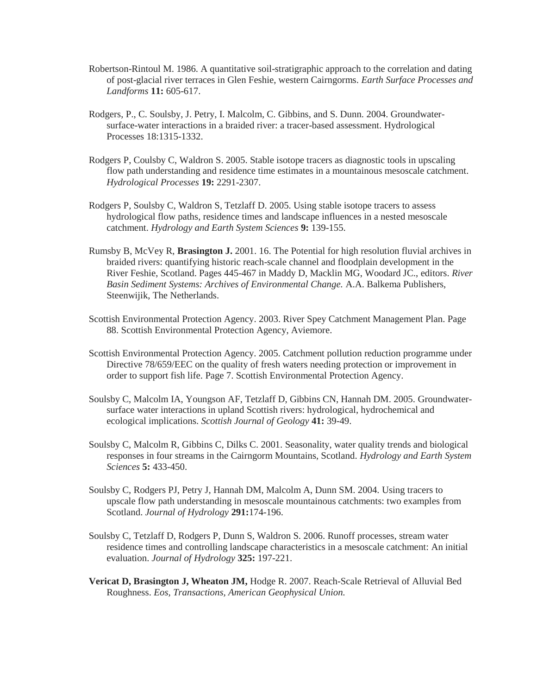- Robertson-Rintoul M. 1986. A quantitative soil-stratigraphic approach to the correlation and dating of post-glacial river terraces in Glen Feshie, western Cairngorms. *Earth Surface Processes and Landforms* **11:** 605-617.
- Rodgers, P., C. Soulsby, J. Petry, I. Malcolm, C. Gibbins, and S. Dunn. 2004. Groundwatersurface-water interactions in a braided river: a tracer-based assessment. Hydrological Processes 18:1315-1332.
- Rodgers P, Coulsby C, Waldron S. 2005. Stable isotope tracers as diagnostic tools in upscaling flow path understanding and residence time estimates in a mountainous mesoscale catchment. *Hydrological Processes* **19:** 2291-2307.
- Rodgers P, Soulsby C, Waldron S, Tetzlaff D. 2005. Using stable isotope tracers to assess hydrological flow paths, residence times and landscape influences in a nested mesoscale catchment. *Hydrology and Earth System Sciences* **9:** 139-155.
- Rumsby B, McVey R, **Brasington J.** 2001. 16. The Potential for high resolution fluvial archives in braided rivers: quantifying historic reach-scale channel and floodplain development in the River Feshie, Scotland. Pages 445-467 in Maddy D, Macklin MG, Woodard JC., editors. *River Basin Sediment Systems: Archives of Environmental Change.* A.A. Balkema Publishers, Steenwijik, The Netherlands.
- Scottish Environmental Protection Agency. 2003. River Spey Catchment Management Plan. Page 88. Scottish Environmental Protection Agency, Aviemore.
- Scottish Environmental Protection Agency. 2005. Catchment pollution reduction programme under Directive 78/659/EEC on the quality of fresh waters needing protection or improvement in order to support fish life. Page 7. Scottish Environmental Protection Agency.
- Soulsby C, Malcolm IA, Youngson AF, Tetzlaff D, Gibbins CN, Hannah DM. 2005. Groundwatersurface water interactions in upland Scottish rivers: hydrological, hydrochemical and ecological implications. *Scottish Journal of Geology* **41:** 39-49.
- Soulsby C, Malcolm R, Gibbins C, Dilks C. 2001. Seasonality, water quality trends and biological responses in four streams in the Cairngorm Mountains, Scotland. *Hydrology and Earth System Sciences* **5:** 433-450.
- Soulsby C, Rodgers PJ, Petry J, Hannah DM, Malcolm A, Dunn SM. 2004. Using tracers to upscale flow path understanding in mesoscale mountainous catchments: two examples from Scotland. *Journal of Hydrology* **291:**174-196.
- Soulsby C, Tetzlaff D, Rodgers P, Dunn S, Waldron S. 2006. Runoff processes, stream water residence times and controlling landscape characteristics in a mesoscale catchment: An initial evaluation. *Journal of Hydrology* **325:** 197-221.
- **Vericat D, Brasington J, Wheaton JM,** Hodge R. 2007. Reach-Scale Retrieval of Alluvial Bed Roughness. *Eos, Transactions, American Geophysical Union.*